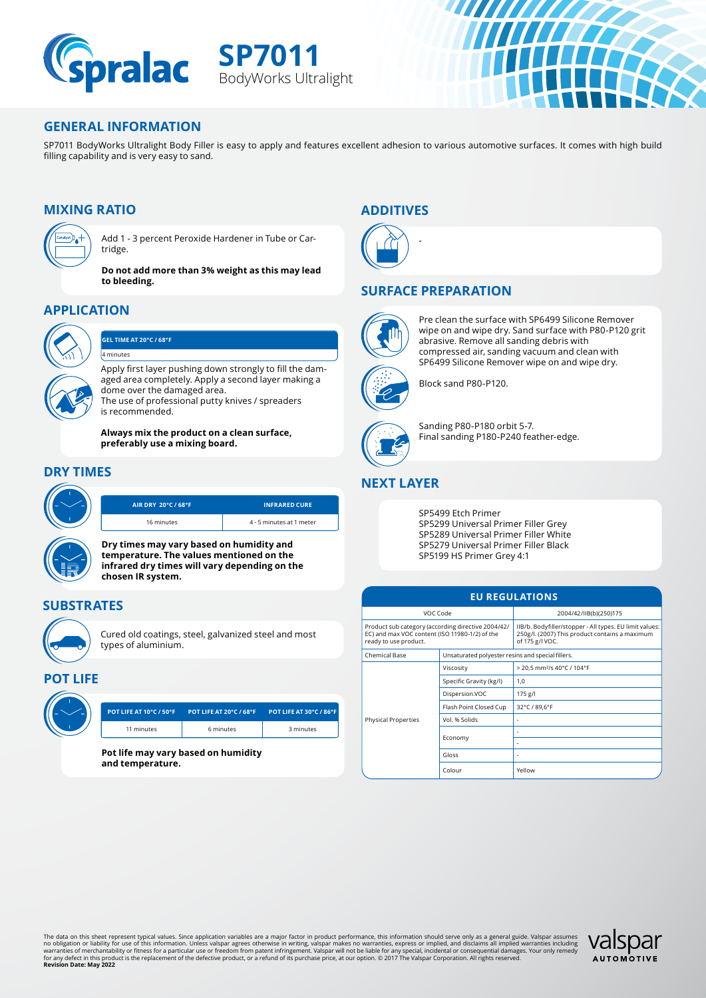

**SP7011** BodyWorks Ultralight



//////

### **GENERAL INFORMATION**

SP7011 BodyWorks Ultralight Body Filler is easy to apply and features excellent adhesion to various automotive surfaces. It comes with high build filling capability and is very easy to sand.

# **MIXING RATIO**



Add 1 - 3 percent Peroxide Hardener in Tube or Cartridge.

**Do not add more than 3% weight as this may lead to bleeding.**

# **APPLICATION**



#### **GEL TIME AT 20°C / 68°F**

Apply first layer pushing down strongly to fill the damaged area completely. Apply a second layer making a dome over the damaged area. The use of professional putty knives / spreaders 4 minutes

is recommended.

**Always mix the product on a clean surface, preferably use a mixing board.** 

## **DRY TIMES**



**Dry times may vary based on humidity and temperature. The values mentioned on the infrared dry times will vary depending on the chosen IR system.**

## **SUBSTRATES**



Cured old coatings, steel, galvanized steel and most types of aluminium.

### **POT LIFE**

| POT LIFE AT 10°C / 50°F | <b>POT LIFE AT 20°C / 68°</b> |
|-------------------------|-------------------------------|
| 11 minutes              | 6 minutes                     |
|                         |                               |

**Pot life may vary based on humidity and temperature.**

## **ADDITIVES**



### **SURFACE PREPARATION**

-



Pre clean the surface with SP6499 Silicone Remover wipe on and wipe dry. Sand surface with P80-P120 grit abrasive. Remove all sanding debris with compressed air, sanding vacuum and clean with SP6499 Silicone Remover wipe on and wipe dry.



Sanding P80-P180 orbit 5-7. Final sanding P180-P240 feather-edge.

# **NEXT LAYER**

SP5499 Etch Primer SP5299 Universal Primer Filler Grey SP5289 Universal Primer Filler White SP5279 Universal Primer Filler Black SP5199 HS Primer Grey 4:1

| <b>EU REGULATIONS</b>                                                                                                         |                                                   |                                                                                                                              |  |  |
|-------------------------------------------------------------------------------------------------------------------------------|---------------------------------------------------|------------------------------------------------------------------------------------------------------------------------------|--|--|
| VOC Code                                                                                                                      |                                                   | 2004/42/IIB(b)(250)175                                                                                                       |  |  |
| Product sub category (according directive 2004/42/<br>EC) and max VOC content (ISO 11980-1/2) of the<br>ready to use product. |                                                   | IIB/b. Bodyfiller/stopper - All types. EU limit values:<br>250g/l. (2007) This product contains a maximum<br>of 175 g/l VOC. |  |  |
| Chemical Base                                                                                                                 | Unsaturated polyester resins and special fillers. |                                                                                                                              |  |  |
|                                                                                                                               | Viscosity                                         | > 20,5 mm <sup>2</sup> /s 40°C / 104°F                                                                                       |  |  |
|                                                                                                                               | Specific Gravity (kg/l)                           | 1,0                                                                                                                          |  |  |
|                                                                                                                               | Dispersion.VOC                                    | 175 g/l                                                                                                                      |  |  |
|                                                                                                                               | Flash Point Closed Cup                            | 32°C / 89,6°F                                                                                                                |  |  |
| <b>Physical Properties</b>                                                                                                    | Vol. % Solids                                     |                                                                                                                              |  |  |
|                                                                                                                               | Economy                                           |                                                                                                                              |  |  |
|                                                                                                                               |                                                   |                                                                                                                              |  |  |
|                                                                                                                               | Gloss                                             | ٠                                                                                                                            |  |  |
|                                                                                                                               | Colour                                            | Yellow                                                                                                                       |  |  |

The data on this sheet represent typical values. Since application variables are a major factor in product performance, this information should serve only as a general guide, Valspar assumes<br>no obligation or liablity for u

**POT LIFE AT 10°C / 50°F POT LIFE AT 20°C / 68°F POT LIFE AT 30°C / 86°F** 3 minutes